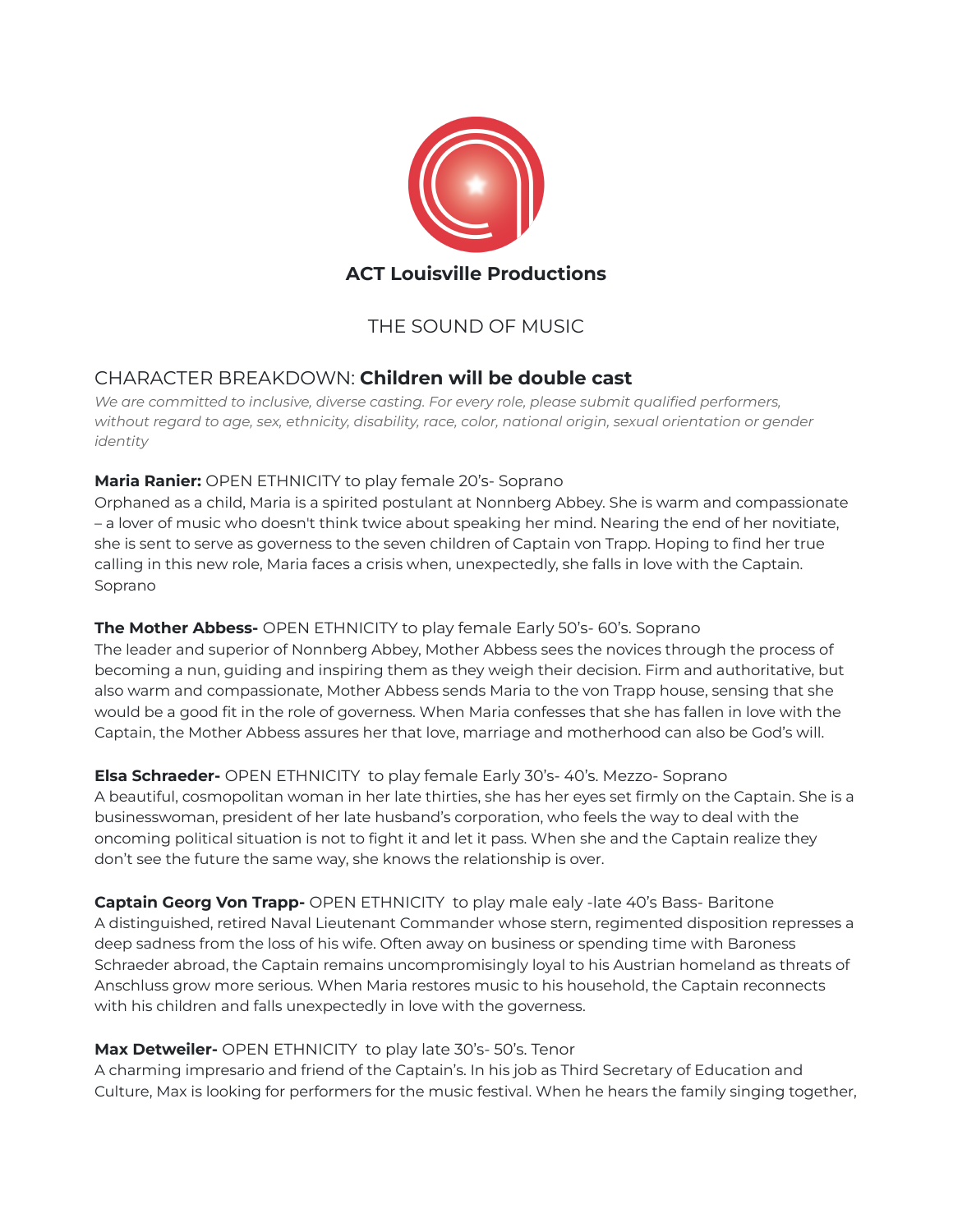

# THE SOUND OF MUSIC

## CHARACTER BREAKDOWN: **Children will be double cast**

*We are committed to inclusive, diverse casting. For every role, please submit qualified performers, without regard to age, sex, ethnicity, disability, race, color, national origin, sexual orientation or gender identity*

## **Maria Ranier:** OPEN ETHNICITY to play female 20's- Soprano

Orphaned as a child, Maria is a spirited postulant at Nonnberg Abbey. She is warm and compassionate – a lover of music who doesn't think twice about speaking her mind. Nearing the end of her novitiate, she is sent to serve as governess to the seven children of Captain von Trapp. Hoping to find her true calling in this new role, Maria faces a crisis when, unexpectedly, she falls in love with the Captain. Soprano

## **The Mother [Abbess](https://stageagent.com/characters/1023/the-sound-of-music/the-mother-abbess)-** OPEN ETHNICITY to play female Early 50's- 60's. Soprano

The leader and superior of Nonnberg Abbey, Mother Abbess sees the novices through the process of becoming a nun, guiding and inspiring them as they weigh their decision. Firm and authoritative, but also warm and compassionate, Mother Abbess sends Maria to the von Trapp house, sensing that she would be a good fit in the role of governess. When Maria confesses that she has fallen in love with the Captain, the Mother Abbess assures her that love, marriage and motherhood can also be God's will.

**Elsa [Schraeder-](https://stageagent.com/characters/1038/the-sound-of-music/elsa-schraeder)** OPEN ETHNICITY to play female Early 30's- 40's. Mezzo- Soprano A beautiful, cosmopolitan woman in her late thirties, she has her eyes set firmly on the Captain. She is a businesswoman, president of her late husband's corporation, who feels the way to deal with the oncoming political situation is not to fight it and let it pass. When she and the Captain realize they don't see the future the same way, she knows the relationship is over.

**Captain Georg Von Trapp-** OPEN ETHNICITY to play male ealy -late 40's Bass- Baritone A distinguished, retired Naval Lieutenant Commander whose stern, regimented disposition represses a deep sadness from the loss of his wife. Often away on business or spending time with Baroness Schraeder abroad, the Captain remains uncompromisingly loyal to his Austrian homeland as threats of Anschluss grow more serious. When Maria restores music to his household, the Captain reconnects with his children and falls unexpectedly in love with the governess.

## **Max Detweiler-** OPEN ETHNICITY to play late 30's- 50's. Tenor

A charming impresario and friend of the Captain's. In his job as Third Secretary of Education and Culture, Max is looking for performers for the music festival. When he hears the family singing together,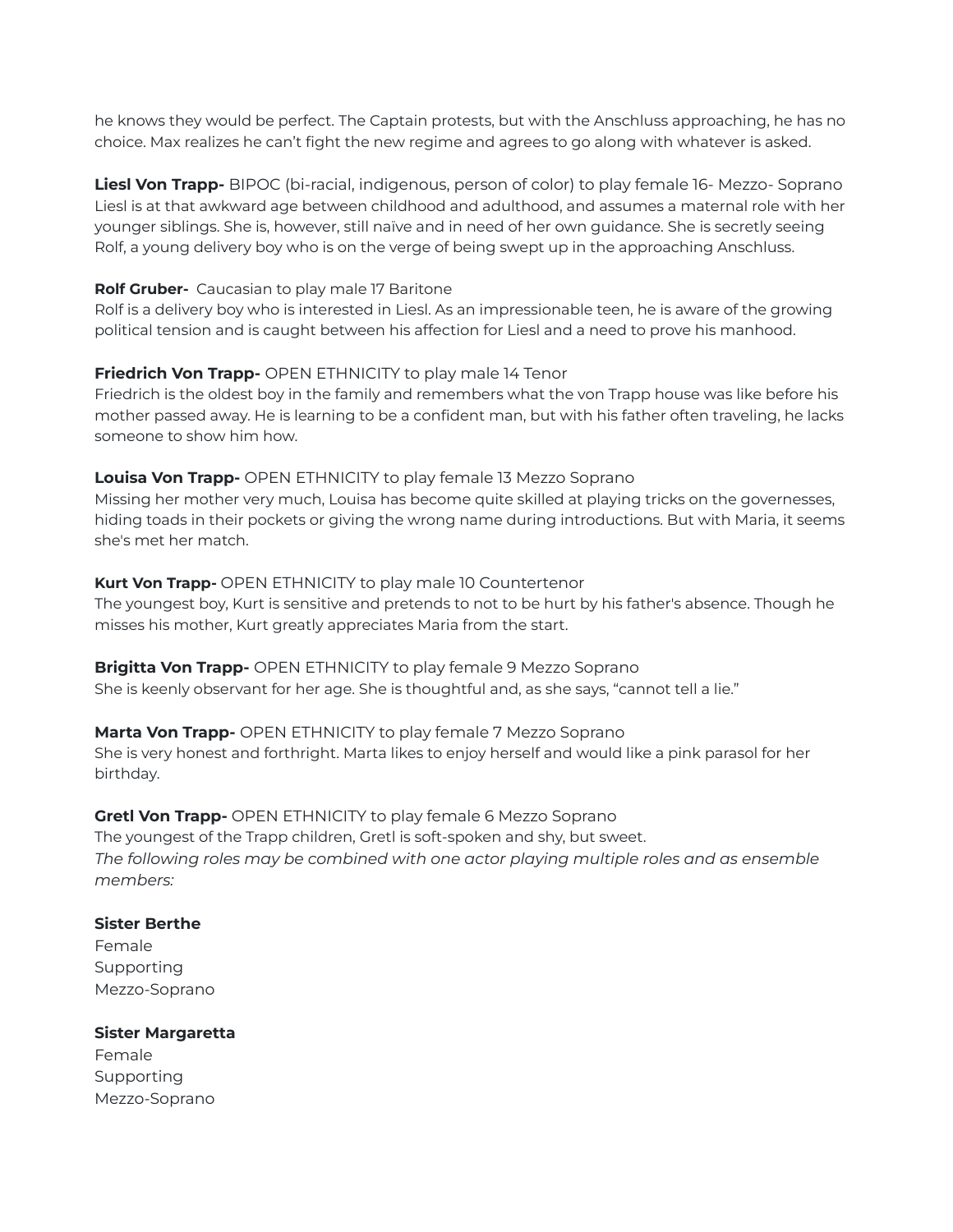he knows they would be perfect. The Captain protests, but with the Anschluss approaching, he has no choice. Max realizes he can't fight the new regime and agrees to go along with whatever is asked.

**Liesl Von Trapp-** BIPOC (bi-racial, indigenous, person of color) to play female 16- Mezzo- Soprano Liesl is at that awkward age between childhood and adulthood, and assumes a maternal role with her younger siblings. She is, however, still naïve and in need of her own guidance. She is secretly seeing Rolf, a young delivery boy who is on the verge of being swept up in the approaching Anschluss.

#### **Rolf Gruber-** Caucasian to play male 17 Baritone

Rolf is a delivery boy who is interested in Liesl. As an impressionable teen, he is aware of the growing political tension and is caught between his affection for Liesl and a need to prove his manhood.

#### **Friedrich Von Trapp-** OPEN ETHNICITY to play male 14 Tenor

Friedrich is the oldest boy in the family and remembers what the von Trapp house was like before his mother passed away. He is learning to be a confident man, but with his father often traveling, he lacks someone to show him how.

## **[Louisa](https://stageagent.com/characters/1032/the-sound-of-music/louisa-von-trapp) Von Trapp-** OPEN ETHNICITY to play female 13 Mezzo Soprano

Missing her mother very much, Louisa has become quite skilled at playing tricks on the governesses, hiding toads in their pockets or giving the wrong name during introductions. But with Maria, it seems she's met her match.

## **Kurt Von Trapp-** OPEN ETHNICITY to play male 10 Countertenor

The youngest boy, Kurt is sensitive and pretends to not to be hurt by his father's absence. Though he misses his mother, Kurt greatly appreciates Maria from the start.

#### **Brigitta Von Trapp-** OPEN ETHNICITY to play female 9 Mezzo Soprano She is keenly observant for her age. She is thoughtful and, as she says, "cannot tell a lie."

#### **Marta Von Trapp-** OPEN ETHNICITY to play female 7 Mezzo Soprano

She is very honest and forthright. Marta likes to enjoy herself and would like a pink parasol for her birthday.

#### **Gretl Von [Trapp](https://stageagent.com/characters/1036/the-sound-of-music/gretl-von-trapp)-** OPEN ETHNICITY to play female 6 Mezzo Soprano

The youngest of the Trapp children, Gretl is soft-spoken and shy, but sweet. *The following roles may be combined with one actor playing multiple roles and as ensemble*

*members:*

## **Sister Berthe**

Female Supporting Mezzo-Soprano

#### **Sister Margaretta**

Female Supporting Mezzo-Soprano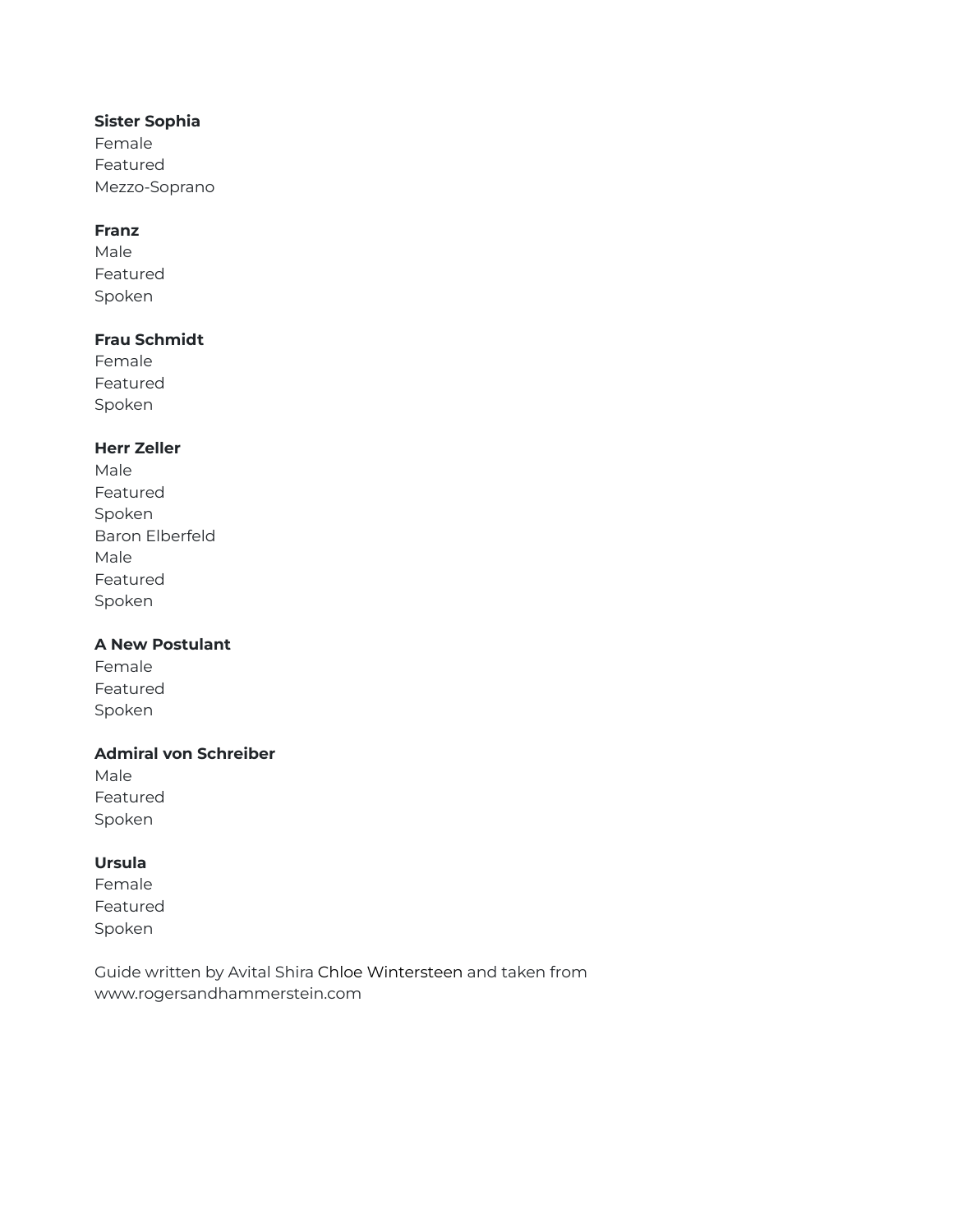#### **Sister Sophia**

Female Featured Mezzo-Soprano

#### **Franz**

Male Featured Spoken

#### **Frau Schmidt**

Female Featured Spoken

## **Herr Zeller**

Male Featured Spoken Baron Elberfeld Male Featured Spoken

## **A New Postulant**

Female Featured Spoken

#### **Admiral von Schreiber**

Male Featured Spoken

## **Ursula**

Female Featured Spoken

Guide written by Avital Shira Chloe Wintersteen and taken from www.rogersandhammerstein.com